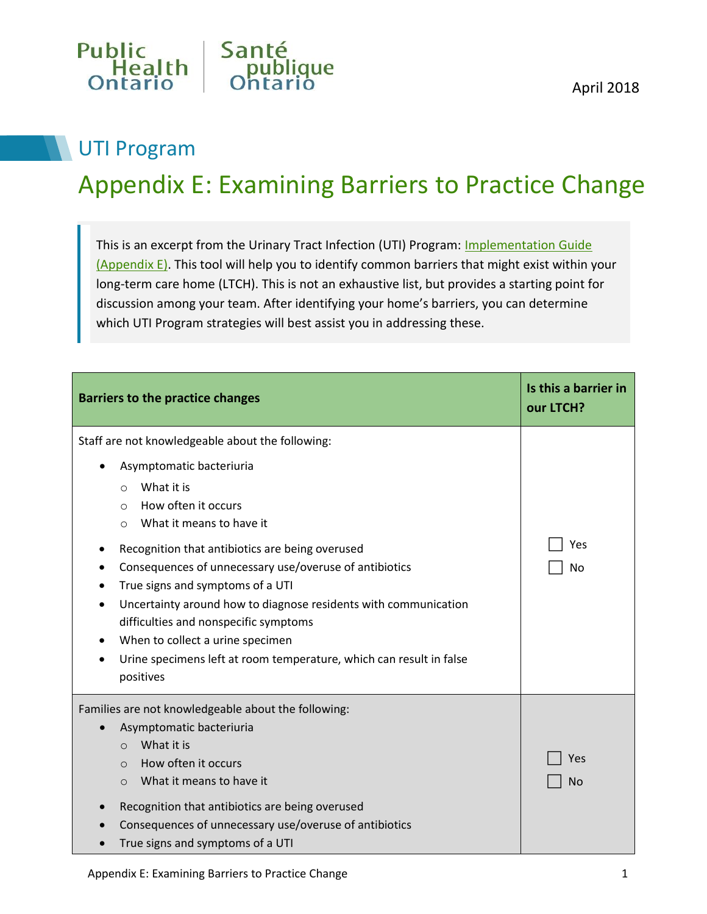

## UTI Program

## Appendix E: Examining Barriers to Practice Change

This is an excerpt from the Urinary Tract Infection (UTI) Program: [Implementation Guide](http://www.publichealthontario.ca/en/BrowseByTopic/IPAC/Documents/UTI_Program_Implementation_Guide.pdf)  [\(Appendix E\).](http://www.publichealthontario.ca/en/BrowseByTopic/IPAC/Documents/UTI_Program_Implementation_Guide.pdf) This tool will help you to identify common barriers that might exist within your long-term care home (LTCH). This is not an exhaustive list, but provides a starting point for discussion among your team. After identifying your home's barriers, you can determine which UTI Program strategies will best assist you in addressing these.

| <b>Barriers to the practice changes</b>                                                                                                                                                                                                                                                                                                                                                                                                                                                                                                                               | Is this a barrier in<br>our LTCH? |
|-----------------------------------------------------------------------------------------------------------------------------------------------------------------------------------------------------------------------------------------------------------------------------------------------------------------------------------------------------------------------------------------------------------------------------------------------------------------------------------------------------------------------------------------------------------------------|-----------------------------------|
| Staff are not knowledgeable about the following:<br>Asymptomatic bacteriuria<br>What it is<br>$\Omega$<br>How often it occurs<br>$\Omega$<br>What it means to have it<br>$\circ$<br>Recognition that antibiotics are being overused<br>Consequences of unnecessary use/overuse of antibiotics<br>True signs and symptoms of a UTI<br>Uncertainty around how to diagnose residents with communication<br>difficulties and nonspecific symptoms<br>When to collect a urine specimen<br>Urine specimens left at room temperature, which can result in false<br>positives | Yes<br>No                         |
| Families are not knowledgeable about the following:<br>Asymptomatic bacteriuria<br>What it is<br>$\Omega$<br>How often it occurs<br>$\Omega$<br>What it means to have it<br>$\Omega$<br>Recognition that antibiotics are being overused<br>Consequences of unnecessary use/overuse of antibiotics<br>True signs and symptoms of a UTI                                                                                                                                                                                                                                 | Yes<br>No                         |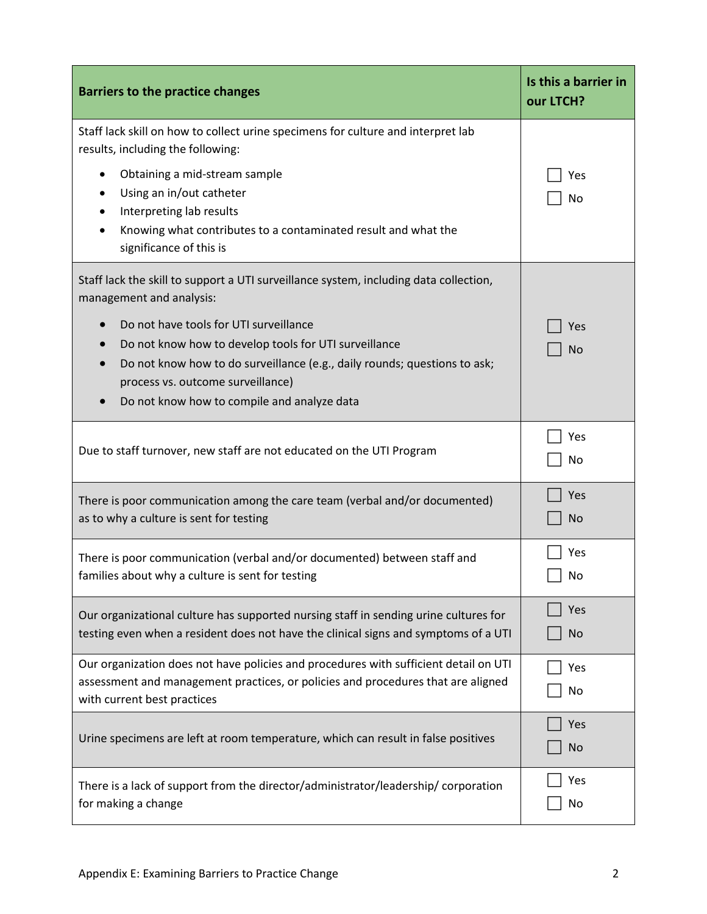| <b>Barriers to the practice changes</b>                                                                                                                                                                                                                          | Is this a barrier in<br>our LTCH? |
|------------------------------------------------------------------------------------------------------------------------------------------------------------------------------------------------------------------------------------------------------------------|-----------------------------------|
| Staff lack skill on how to collect urine specimens for culture and interpret lab<br>results, including the following:                                                                                                                                            |                                   |
| Obtaining a mid-stream sample<br>$\bullet$<br>Using an in/out catheter<br>Interpreting lab results<br>Knowing what contributes to a contaminated result and what the<br>significance of this is                                                                  | Yes<br>No                         |
| Staff lack the skill to support a UTI surveillance system, including data collection,<br>management and analysis:                                                                                                                                                |                                   |
| Do not have tools for UTI surveillance<br>Do not know how to develop tools for UTI surveillance<br>Do not know how to do surveillance (e.g., daily rounds; questions to ask;<br>process vs. outcome surveillance)<br>Do not know how to compile and analyze data | Yes<br><b>No</b>                  |
| Due to staff turnover, new staff are not educated on the UTI Program                                                                                                                                                                                             | Yes<br>No                         |
| There is poor communication among the care team (verbal and/or documented)<br>as to why a culture is sent for testing                                                                                                                                            | Yes<br>No                         |
| There is poor communication (verbal and/or documented) between staff and<br>families about why a culture is sent for testing                                                                                                                                     | Yes<br>No                         |
| Our organizational culture has supported nursing staff in sending urine cultures for<br>testing even when a resident does not have the clinical signs and symptoms of a UTI                                                                                      | Yes<br>No                         |
| Our organization does not have policies and procedures with sufficient detail on UTI<br>assessment and management practices, or policies and procedures that are aligned<br>with current best practices                                                          | Yes<br>No                         |
| Urine specimens are left at room temperature, which can result in false positives                                                                                                                                                                                | Yes<br>No                         |
| There is a lack of support from the director/administrator/leadership/ corporation<br>for making a change                                                                                                                                                        | Yes<br>No                         |